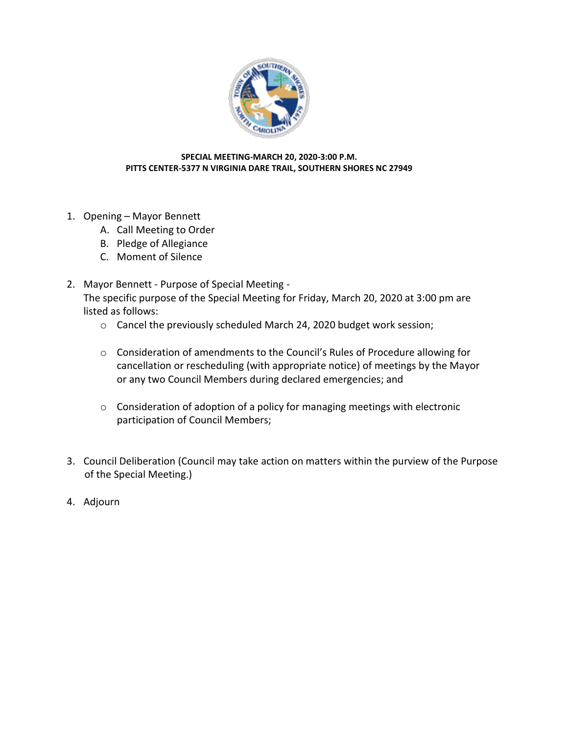

## **SPECIAL MEETING-MARCH 20, 2020-3:00 P.M. PITTS CENTER-5377 N VIRGINIA DARE TRAIL, SOUTHERN SHORES NC 27949**

- 1. Opening Mayor Bennett
	- A. Call Meeting to Order
	- B. Pledge of Allegiance
	- C. Moment of Silence
- 2. Mayor Bennett Purpose of Special Meeting The specific purpose of the Special Meeting for Friday, March 20, 2020 at 3:00 pm are listed as follows:
	- o Cancel the previously scheduled March 24, 2020 budget work session;
	- o Consideration of amendments to the Council's Rules of Procedure allowing for cancellation or rescheduling (with appropriate notice) of meetings by the Mayor or any two Council Members during declared emergencies; and
	- o Consideration of adoption of a policy for managing meetings with electronic participation of Council Members;
- 3. Council Deliberation (Council may take action on matters within the purview of the Purpose of the Special Meeting.)
- 4. Adjourn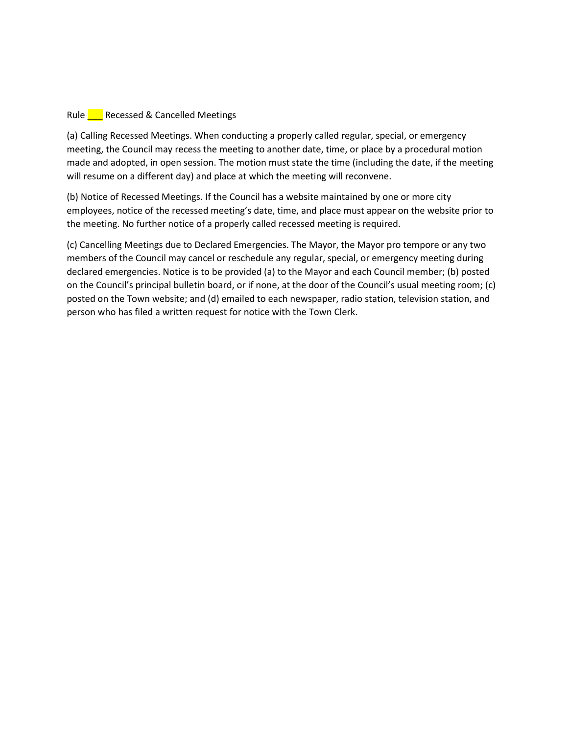## Rule **Recessed & Cancelled Meetings**

(a) Calling Recessed Meetings. When conducting a properly called regular, special, or emergency meeting, the Council may recess the meeting to another date, time, or place by a procedural motion made and adopted, in open session. The motion must state the time (including the date, if the meeting will resume on a different day) and place at which the meeting will reconvene.

(b) Notice of Recessed Meetings. If the Council has a website maintained by one or more city employees, notice of the recessed meeting's date, time, and place must appear on the website prior to the meeting. No further notice of a properly called recessed meeting is required.

(c) Cancelling Meetings due to Declared Emergencies. The Mayor, the Mayor pro tempore or any two members of the Council may cancel or reschedule any regular, special, or emergency meeting during declared emergencies. Notice is to be provided (a) to the Mayor and each Council member; (b) posted on the Council's principal bulletin board, or if none, at the door of the Council's usual meeting room; (c) posted on the Town website; and (d) emailed to each newspaper, radio station, television station, and person who has filed a written request for notice with the Town Clerk.